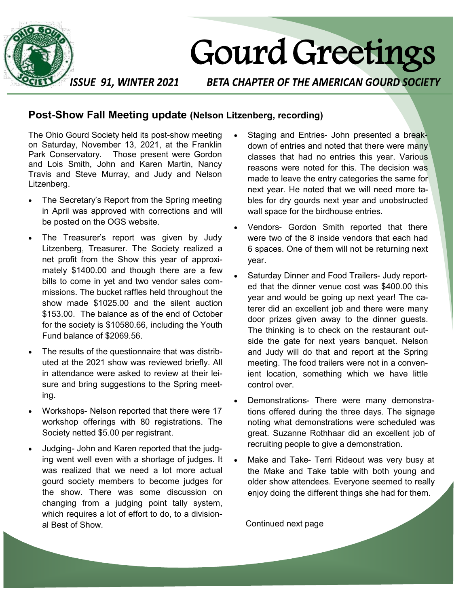

# Gourd Greetings

**ISSUE 91, WINTER 2021** 

**BETA CHAPTER OF THE AMERICAN GOURD SOCIETY** 

#### **Post-Show Fall Meeting update (Nelson Litzenberg, recording)**

The Ohio Gourd Society held its post-show meeting on Saturday, November 13, 2021, at the Franklin Park Conservatory. Those present were Gordon and Lois Smith, John and Karen Martin, Nancy Travis and Steve Murray, and Judy and Nelson Litzenberg.

- The Secretary's Report from the Spring meeting in April was approved with corrections and will be posted on the OGS website.
- The Treasurer's report was given by Judy Litzenberg, Treasurer. The Society realized a net profit from the Show this year of approximately \$1400.00 and though there are a few bills to come in yet and two vendor sales commissions. The bucket raffles held throughout the show made \$1025.00 and the silent auction \$153.00. The balance as of the end of October for the society is \$10580.66, including the Youth Fund balance of \$2069.56.
- The results of the questionnaire that was distributed at the 2021 show was reviewed briefly. All in attendance were asked to review at their leisure and bring suggestions to the Spring meeting.
- Workshops- Nelson reported that there were 17 workshop offerings with 80 registrations. The Society netted \$5.00 per registrant.
- Judging- John and Karen reported that the judging went well even with a shortage of judges. It was realized that we need a lot more actual gourd society members to become judges for the show. There was some discussion on changing from a judging point tally system, which requires a lot of effort to do, to a divisional Best of Show.
- Staging and Entries- John presented a breakdown of entries and noted that there were many classes that had no entries this year. Various reasons were noted for this. The decision was made to leave the entry categories the same for next year. He noted that we will need more tables for dry gourds next year and unobstructed wall space for the birdhouse entries.
- Vendors- Gordon Smith reported that there were two of the 8 inside vendors that each had 6 spaces. One of them will not be returning next year.
- Saturday Dinner and Food Trailers- Judy reported that the dinner venue cost was \$400.00 this year and would be going up next year! The caterer did an excellent job and there were many door prizes given away to the dinner guests. The thinking is to check on the restaurant outside the gate for next years banquet. Nelson and Judy will do that and report at the Spring meeting. The food trailers were not in a convenient location, something which we have little control over.
- Demonstrations- There were many demonstrations offered during the three days. The signage noting what demonstrations were scheduled was great. Suzanne Rothhaar did an excellent job of recruiting people to give a demonstration.
- Make and Take- Terri Rideout was very busy at the Make and Take table with both young and older show attendees. Everyone seemed to really enjoy doing the different things she had for them.

Continued next page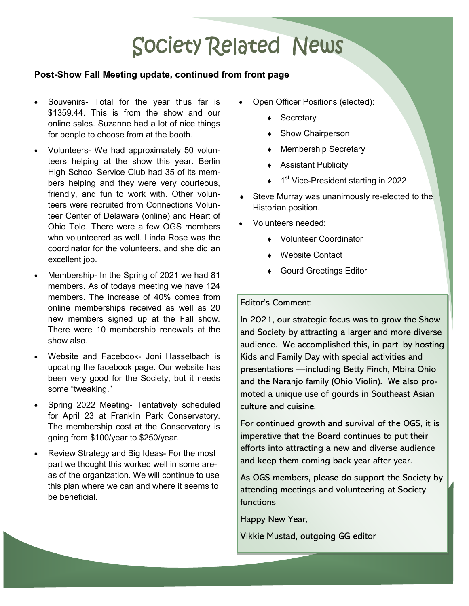## **Society Related News**

#### **Post-Show Fall Meeting update, continued from front page**

- Souvenirs- Total for the year thus far is \$1359.44. This is from the show and our online sales. Suzanne had a lot of nice things for people to choose from at the booth.
- Volunteers- We had approximately 50 volunteers helping at the show this year. Berlin High School Service Club had 35 of its members helping and they were very courteous, friendly, and fun to work with. Other volunteers were recruited from Connections Volunteer Center of Delaware (online) and Heart of Ohio Tole. There were a few OGS members who volunteered as well. Linda Rose was the coordinator for the volunteers, and she did an excellent job.
- Membership- In the Spring of 2021 we had 81 members. As of todays meeting we have 124 members. The increase of 40% comes from online memberships received as well as 20 new members signed up at the Fall show. There were 10 membership renewals at the show also.
- Website and Facebook- Joni Hasselbach is updating the facebook page. Our website has been very good for the Society, but it needs some "tweaking."
- Spring 2022 Meeting- Tentatively scheduled for April 23 at Franklin Park Conservatory. The membership cost at the Conservatory is going from \$100/year to \$250/year.
- Review Strategy and Big Ideas- For the most part we thought this worked well in some areas of the organization. We will continue to use this plan where we can and where it seems to be beneficial.
- Open Officer Positions (elected):
	- ◆ Secretary
	- ◆ Show Chairperson
	- ◆ Membership Secretary
	- Assistant Publicity
	- ◆ 1<sup>st</sup> Vice-President starting in 2022
- Steve Murray was unanimously re-elected to the Historian position.
- Volunteers needed:
	- Volunteer Coordinator
	- Website Contact
	- ◆ Gourd Greetings Editor

#### Editor's Comment:

In 2021, our strategic focus was to grow the Show and Society by attracting a larger and more diverse audience. We accomplished this, in part, by hosting Kids and Family Day with special activities and presentations —including Betty Finch, Mbira Ohio and the Naranjo family (Ohio Violin). We also promoted a unique use of gourds in Southeast Asian culture and cuisine.

For continued growth and survival of the OGS, it is imperative that the Board continues to put their efforts into attracting a new and diverse audience and keep them coming back year after year.

As OGS members, please do support the Society by attending meetings and volunteering at Society functions

Happy New Year,

Vikkie Mustad, outgoing GG editor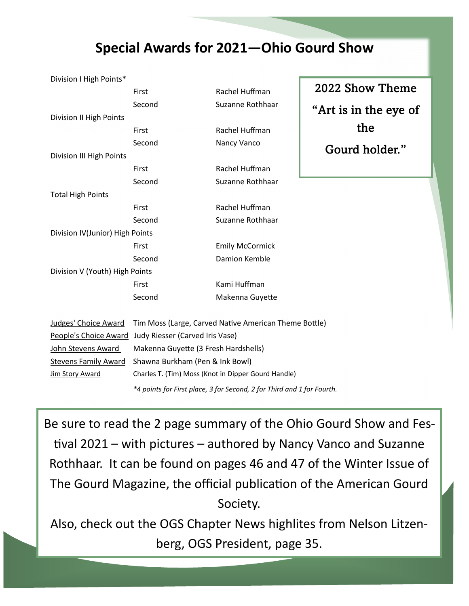### **Special Awards for 2021—Ohio Gourd Show**

| Division I High Points*         | First                                                                  | Rachel Huffman         | 2022 Show Theme       |  |
|---------------------------------|------------------------------------------------------------------------|------------------------|-----------------------|--|
|                                 | Second                                                                 | Suzanne Rothhaar       | "Art is in the eye of |  |
| Division II High Points         |                                                                        |                        |                       |  |
|                                 | First                                                                  | Rachel Huffman         | the                   |  |
|                                 | Second                                                                 | Nancy Vanco            | Gourd holder."        |  |
| Division III High Points        |                                                                        |                        |                       |  |
|                                 | First                                                                  | Rachel Huffman         |                       |  |
|                                 | Second                                                                 | Suzanne Rothhaar       |                       |  |
| <b>Total High Points</b>        |                                                                        |                        |                       |  |
|                                 | First                                                                  | Rachel Huffman         |                       |  |
|                                 | Second                                                                 | Suzanne Rothhaar       |                       |  |
| Division IV(Junior) High Points |                                                                        |                        |                       |  |
|                                 | First                                                                  | <b>Emily McCormick</b> |                       |  |
|                                 | Second                                                                 | Damion Kemble          |                       |  |
| Division V (Youth) High Points  |                                                                        |                        |                       |  |
|                                 | First                                                                  | Kami Huffman           |                       |  |
|                                 | Second                                                                 | Makenna Guyette        |                       |  |
|                                 |                                                                        |                        |                       |  |
| Judges' Choice Award            | Tim Moss (Large, Carved Native American Theme Bottle)                  |                        |                       |  |
| People's Choice Award           | Judy Riesser (Carved Iris Vase)                                        |                        |                       |  |
| John Stevens Award              | Makenna Guyette (3 Fresh Hardshells)                                   |                        |                       |  |
| <b>Stevens Family Award</b>     | Shawna Burkham (Pen & Ink Bowl)                                        |                        |                       |  |
| <b>Jim Story Award</b>          | Charles T. (Tim) Moss (Knot in Dipper Gourd Handle)                    |                        |                       |  |
|                                 | *4 points for First place, 3 for Second, 2 for Third and 1 for Fourth. |                        |                       |  |

Be sure to read the 2 page summary of the Ohio Gourd Show and Festival 2021 – with pictures – authored by Nancy Vanco and Suzanne Rothhaar. It can be found on pages 46 and 47 of the Winter Issue of The Gourd Magazine, the official publication of the American Gourd Society.

Also, check out the OGS Chapter News highlites from Nelson Litzenberg, OGS President, page 35.